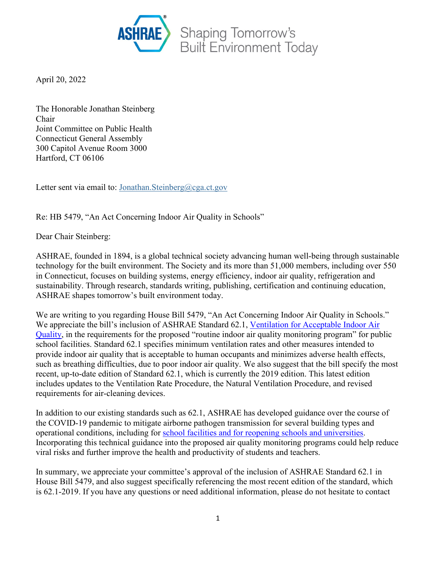

April 20, 2022

The Honorable Jonathan Steinberg Chair Joint Committee on Public Health Connecticut General Assembly 300 Capitol Avenue Room 3000 Hartford, CT 06106

Letter sent via email to: [Jonathan.Steinberg@cga.ct.gov](mailto:jonathan.steinberg@cga.ct.gov)

Re: HB 5479, "An Act Concerning Indoor Air Quality in Schools"

Dear Chair Steinberg:

ASHRAE, founded in 1894, is a global technical society advancing human well-being through sustainable technology for the built environment. The Society and its more than 51,000 members, including over 550 in Connecticut, focuses on building systems, energy efficiency, indoor air quality, refrigeration and sustainability. Through research, standards writing, publishing, certification and continuing education, ASHRAE shapes tomorrow's built environment today.

We are writing to you regarding House Bill 5479, "An Act Concerning Indoor Air Quality in Schools." We appreciate the bill's inclusion of ASHRAE Standard 62.1, [Ventilation for Acceptable Indoor Air](https://ashrae.iwrapper.com/ASHRAE_PREVIEW_ONLY_STANDARDS/STD_62.1_2019)  [Quality,](https://ashrae.iwrapper.com/ASHRAE_PREVIEW_ONLY_STANDARDS/STD_62.1_2019) in the requirements for the proposed "routine indoor air quality monitoring program" for public school facilities. Standard 62.1 specifies minimum ventilation rates and other measures intended to provide indoor air quality that is acceptable to human occupants and minimizes adverse health effects, such as breathing difficulties, due to poor indoor air quality. We also suggest that the bill specify the most recent, up-to-date edition of Standard 62.1, which is currently the 2019 edition. This latest edition includes updates to the Ventilation Rate Procedure, the Natural Ventilation Procedure, and revised requirements for air-cleaning devices.

In addition to our existing standards such as 62.1, ASHRAE has developed guidance over the course of the COVID-19 pandemic to mitigate airborne pathogen transmission for several building types and operational conditions, including for [school facilities and for reopening schools and universities.](https://www.ashrae.org/technical-resources/reopening-of-schools-and-universities) Incorporating this technical guidance into the proposed air quality monitoring programs could help reduce viral risks and further improve the health and productivity of students and teachers.

In summary, we appreciate your committee's approval of the inclusion of ASHRAE Standard 62.1 in House Bill 5479, and also suggest specifically referencing the most recent edition of the standard, which is 62.1-2019. If you have any questions or need additional information, please do not hesitate to contact